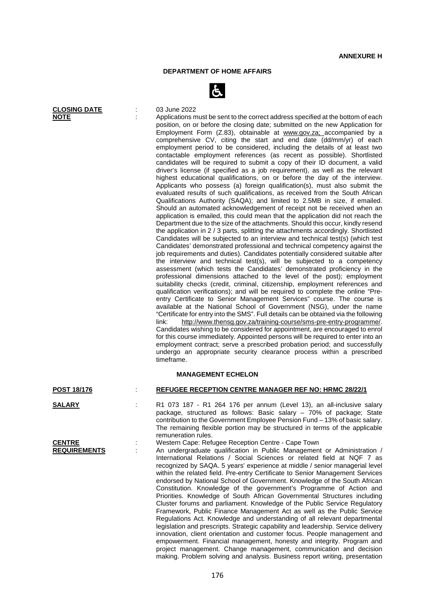## **DEPARTMENT OF HOME AFFAIRS**



**CLOSING DATE** : 03 June 2022<br> **NOTE** : Applications m Applications must be sent to the correct address specified at the bottom of each position, on or before the closing date; submitted on the new Application for Employment Form (Z.83), obtainable at [www.gov.za;](http://www.gov.za/) accompanied by a comprehensive CV, citing the start and end date (dd/mm/yr) of each employment period to be considered, including the details of at least two contactable employment references (as recent as possible). Shortlisted candidates will be required to submit a copy of their ID document, a valid driver's license (if specified as a job requirement), as well as the relevant highest educational qualifications, on or before the day of the interview. Applicants who possess (a) foreign qualification(s), must also submit the evaluated results of such qualifications, as received from the South African Qualifications Authority (SAQA); and limited to 2.5MB in size, if emailed. Should an automated acknowledgement of receipt not be received when an application is emailed, this could mean that the application did not reach the Department due to the size of the attachments. Should this occur, kindly resend the application in 2 / 3 parts, splitting the attachments accordingly. Shortlisted Candidates will be subjected to an interview and technical test(s) (which test Candidates' demonstrated professional and technical competency against the job requirements and duties). Candidates potentially considered suitable after the interview and technical test(s), will be subjected to a competency assessment (which tests the Candidates' demonstrated proficiency in the professional dimensions attached to the level of the post); employment suitability checks (credit, criminal, citizenship, employment references and qualification verifications); and will be required to complete the online "Preentry Certificate to Senior Management Services" course. The course is available at the National School of Government (NSG), under the name "Certificate for entry into the SMS". Full details can be obtained via the following link: [http://www.thensg.gov.za/training-course/sms-pre-entry-programme/.](http://www.thensg.gov.za/training-course/sms-pre-entry-programme/) Candidates wishing to be considered for appointment, are encouraged to enrol for this course immediately. Appointed persons will be required to enter into an employment contract; serve a prescribed probation period; and successfully undergo an appropriate security clearance process within a prescribed timeframe.

| <b>MANAGEMENT ECHELON</b> |  |                                                                                                                                                                                                                                                                                                                                                                                                                                                                                                                                                                                                                                                                                                                                                                                                                                                                                                                                                                                                                                                                                                                                                                                     |
|---------------------------|--|-------------------------------------------------------------------------------------------------------------------------------------------------------------------------------------------------------------------------------------------------------------------------------------------------------------------------------------------------------------------------------------------------------------------------------------------------------------------------------------------------------------------------------------------------------------------------------------------------------------------------------------------------------------------------------------------------------------------------------------------------------------------------------------------------------------------------------------------------------------------------------------------------------------------------------------------------------------------------------------------------------------------------------------------------------------------------------------------------------------------------------------------------------------------------------------|
| <b>POST 18/176</b>        |  | <b>REFUGEE RECEPTION CENTRE MANAGER REF NO: HRMC 28/22/1</b>                                                                                                                                                                                                                                                                                                                                                                                                                                                                                                                                                                                                                                                                                                                                                                                                                                                                                                                                                                                                                                                                                                                        |
| <b>SALARY</b>             |  | R1 073 187 - R1 264 176 per annum (Level 13), an all-inclusive salary<br>package, structured as follows: Basic salary - 70% of package; State<br>contribution to the Government Employee Pension Fund - 13% of basic salary.<br>The remaining flexible portion may be structured in terms of the applicable<br>remuneration rules.                                                                                                                                                                                                                                                                                                                                                                                                                                                                                                                                                                                                                                                                                                                                                                                                                                                  |
| <b>CENTRE</b>             |  | Western Cape: Refugee Reception Centre - Cape Town                                                                                                                                                                                                                                                                                                                                                                                                                                                                                                                                                                                                                                                                                                                                                                                                                                                                                                                                                                                                                                                                                                                                  |
| <b>REQUIREMENTS</b>       |  | An undergraduate qualification in Public Management or Administration /<br>International Relations / Social Sciences or related field at NQF 7 as<br>recognized by SAQA. 5 years' experience at middle / senior managerial level<br>within the related field. Pre-entry Certificate to Senior Management Services<br>endorsed by National School of Government. Knowledge of the South African<br>Constitution. Knowledge of the government's Programme of Action and<br>Priorities. Knowledge of South African Governmental Structures including<br>Cluster forums and parliament. Knowledge of the Public Service Regulatory<br>Framework, Public Finance Management Act as well as the Public Service<br>Regulations Act. Knowledge and understanding of all relevant departmental<br>legislation and prescripts. Strategic capability and leadership. Service delivery<br>innovation, client orientation and customer focus. People management and<br>empowerment. Financial management, honesty and integrity. Program and<br>project management. Change management, communication and decision<br>making. Problem solving and analysis. Business report writing, presentation |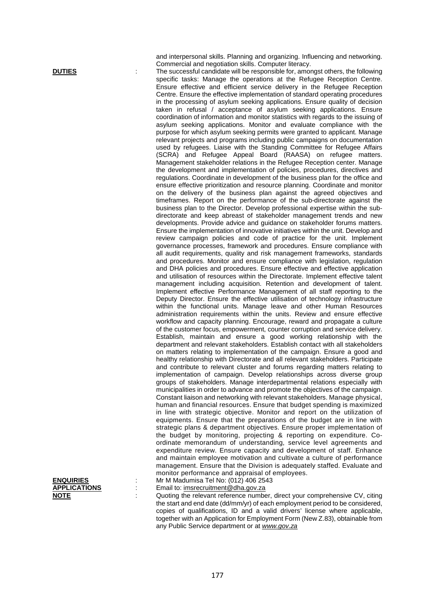and interpersonal skills. Planning and organizing. Influencing and networking. Commercial and negotiation skills. Computer literacy.

**DUTIES** The successful candidate will be responsible for, amongst others, the following specific tasks: Manage the operations at the Refugee Reception Centre. Ensure effective and efficient service delivery in the Refugee Reception Centre. Ensure the effective implementation of standard operating procedures in the processing of asylum seeking applications. Ensure quality of decision taken in refusal / acceptance of asylum seeking applications. Ensure coordination of information and monitor statistics with regards to the issuing of asylum seeking applications. Monitor and evaluate compliance with the purpose for which asylum seeking permits were granted to applicant. Manage relevant projects and programs including public campaigns on documentation used by refugees. Liaise with the Standing Committee for Refugee Affairs (SCRA) and Refugee Appeal Board (RAASA) on refugee matters. Management stakeholder relations in the Refugee Reception center. Manage the development and implementation of policies, procedures, directives and regulations. Coordinate in development of the business plan for the office and ensure effective prioritization and resource planning. Coordinate and monitor on the delivery of the business plan against the agreed objectives and timeframes. Report on the performance of the sub-directorate against the business plan to the Director. Develop professional expertise within the subdirectorate and keep abreast of stakeholder management trends and new developments. Provide advice and guidance on stakeholder forums matters. Ensure the implementation of innovative initiatives within the unit. Develop and review campaign policies and code of practice for the unit. Implement governance processes, framework and procedures. Ensure compliance with all audit requirements, quality and risk management frameworks, standards and procedures. Monitor and ensure compliance with legislation, regulation and DHA policies and procedures. Ensure effective and effective application and utilisation of resources within the Directorate. Implement effective talent management including acquisition. Retention and development of talent. Implement effective Performance Management of all staff reporting to the Deputy Director. Ensure the effective utilisation of technology infrastructure within the functional units. Manage leave and other Human Resources administration requirements within the units. Review and ensure effective workflow and capacity planning. Encourage, reward and propagate a culture of the customer focus, empowerment, counter corruption and service delivery. Establish, maintain and ensure a good working relationship with the department and relevant stakeholders. Establish contact with all stakeholders on matters relating to implementation of the campaign. Ensure a good and healthy relationship with Directorate and all relevant stakeholders. Participate and contribute to relevant cluster and forums regarding matters relating to implementation of campaign. Develop relationships across diverse group groups of stakeholders. Manage interdepartmental relations especially with municipalities in order to advance and promote the objectives of the campaign. Constant liaison and networking with relevant stakeholders. Manage physical, human and financial resources. Ensure that budget spending is maximized in line with strategic objective. Monitor and report on the utilization of equipments. Ensure that the preparations of the budget are in line with strategic plans & department objectives. Ensure proper implementation of the budget by monitoring, projecting & reporting on expenditure. Coordinate memorandum of understanding, service level agreements and expenditure review. Ensure capacity and development of staff. Enhance and maintain employee motivation and cultivate a culture of performance management. Ensure that the Division is adequately staffed. Evaluate and monitor performance and appraisal of employees.

**ENQUIRIES** : Mr M Madumisa Tel No: (012) 406 2543<br>**APPLICATIONS** : Email to: imsrecruitment@dha.gov.za Email to: [imsrecruitment@dha.gov.za](mailto:imsrecruitment@dha.gov.za)

**NOTE** : Quoting the relevant reference number, direct your comprehensive CV, citing the start and end date (dd/mm/yr) of each employment period to be considered, copies of qualifications, ID and a valid drivers' license where applicable, together with an Application for Employment Form (New Z.83), obtainable from any Public Service department or at *[www.gov.za](http://www.gov.za/)*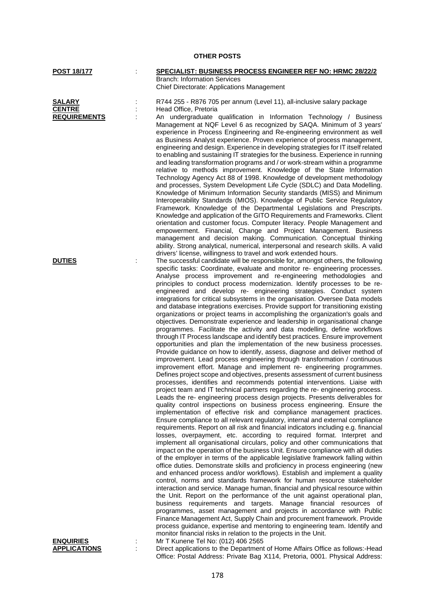| <b>POST 18/177</b>  | SPECIALIST: BUSINESS PROCESS ENGINEER REF NO: HRMC 28/22/2                                                                                               |
|---------------------|----------------------------------------------------------------------------------------------------------------------------------------------------------|
|                     | <b>Branch: Information Services</b>                                                                                                                      |
|                     | <b>Chief Directorate: Applications Management</b>                                                                                                        |
| <b>SALARY</b>       | R744 255 - R876 705 per annum (Level 11), all-inclusive salary package                                                                                   |
| <b>CENTRE</b>       | Head Office, Pretoria                                                                                                                                    |
| <b>REQUIREMENTS</b> | An undergraduate qualification in Information Technology / Business                                                                                      |
|                     | Management at NQF Level 6 as recognized by SAQA. Minimum of 3 years'                                                                                     |
|                     | experience in Process Engineering and Re-engineering environment as well                                                                                 |
|                     | as Business Analyst experience. Proven experience of process management,                                                                                 |
|                     | engineering and design. Experience in developing strategies for IT itself related                                                                        |
|                     | to enabling and sustaining IT strategies for the business. Experience in running                                                                         |
|                     | and leading transformation programs and / or work-stream within a programme                                                                              |
|                     | relative to methods improvement. Knowledge of the State Information                                                                                      |
|                     | Technology Agency Act 88 of 1998. Knowledge of development methodology                                                                                   |
|                     | and processes, System Development Life Cycle (SDLC) and Data Modelling.                                                                                  |
|                     | Knowledge of Minimum Information Security standards (MISS) and Minimum<br>Interoperability Standards (MIOS). Knowledge of Public Service Regulatory      |
|                     | Framework. Knowledge of the Departmental Legislations and Prescripts.                                                                                    |
|                     | Knowledge and application of the GITO Requirements and Frameworks. Client                                                                                |
|                     | orientation and customer focus. Computer literacy. People Management and                                                                                 |
|                     | empowerment. Financial, Change and Project Management. Business                                                                                          |
|                     | management and decision making. Communication. Conceptual thinking                                                                                       |
|                     | ability. Strong analytical, numerical, interpersonal and research skills. A valid                                                                        |
|                     | drivers' license, willingness to travel and work extended hours.                                                                                         |
| <b>DUTIES</b>       | The successful candidate will be responsible for, amongst others, the following                                                                          |
|                     | specific tasks: Coordinate, evaluate and monitor re- engineering processes.<br>Analyse process improvement and re-engineering methodologies and          |
|                     | principles to conduct process modernization. Identify processes to be re-                                                                                |
|                     | engineered and develop re- engineering strategies. Conduct system                                                                                        |
|                     | integrations for critical subsystems in the organisation. Oversee Data models                                                                            |
|                     | and database integrations exercises. Provide support for transitioning existing                                                                          |
|                     | organizations or project teams in accomplishing the organization's goals and                                                                             |
|                     | objectives. Demonstrate experience and leadership in organisational change                                                                               |
|                     | programmes. Facilitate the activity and data modelling, define workflows                                                                                 |
|                     | through IT Process landscape and identify best practices. Ensure improvement<br>opportunities and plan the implementation of the new business processes. |
|                     | Provide guidance on how to identify, assess, diagnose and deliver method of                                                                              |
|                     | improvement. Lead process engineering through transformation / continuous                                                                                |
|                     | improvement effort. Manage and implement re- engineering programmes.                                                                                     |
|                     | Defines project scope and objectives, presents assessment of current business                                                                            |
|                     | processes, identifies and recommends potential interventions. Liaise with                                                                                |
|                     | project team and IT technical partners regarding the re- engineering process.                                                                            |
|                     | Leads the re- engineering process design projects. Presents deliverables for                                                                             |
|                     | quality control inspections on business process engineering. Ensure the                                                                                  |
|                     | implementation of effective risk and compliance management practices.<br>Ensure compliance to all relevant regulatory, internal and external compliance  |
|                     | requirements. Report on all risk and financial indicators including e.g. financial                                                                       |
|                     | losses, overpayment, etc. according to required format. Interpret and                                                                                    |
|                     | implement all organisational circulars, policy and other communications that                                                                             |
|                     | impact on the operation of the business Unit. Ensure compliance with all duties                                                                          |
|                     | of the employer in terms of the applicable legislative framework falling within                                                                          |
|                     | office duties. Demonstrate skills and proficiency in process engineering (new                                                                            |
|                     | and enhanced process and/or workflows). Establish and implement a quality                                                                                |
|                     | control, norms and standards framework for human resource stakeholder                                                                                    |
|                     | interaction and service. Manage human, financial and physical resource within                                                                            |
|                     | the Unit. Report on the performance of the unit against operational plan,<br>business requirements and targets. Manage financial resources of            |
|                     | programmes, asset management and projects in accordance with Public                                                                                      |
|                     | Finance Management Act, Supply Chain and procurement framework. Provide                                                                                  |
|                     | process guidance, expertise and mentoring to engineering team. Identify and                                                                              |
|                     | monitor financial risks in relation to the projects in the Unit.                                                                                         |
| <u>ENQUIRIES</u>    | Mr T Kunene Tel No: (012) 406 2565                                                                                                                       |
| <b>APPLICATIONS</b> | Direct applications to the Department of Home Affairs Office as follows:-Head                                                                            |
|                     | Office: Postal Address: Private Bag X114, Pretoria, 0001. Physical Address:                                                                              |
|                     |                                                                                                                                                          |

**OTHER POSTS**

## 178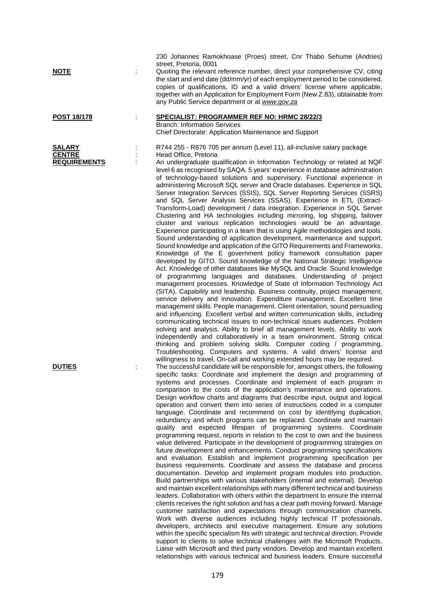|                                                       |   | 230 Johannes Ramokhoase (Proes) street, Cnr Thabo Sehume (Andries)<br>street, Pretoria, 0001<br>Quoting the relevant reference number, direct your comprehensive CV, citing                                                                                                                                                                                                                                                                                                                                                                                                                                                                                                                                                                                                                                                                                                                                                                                                                                                                                                                                                                                                                                                                                                                                                                                                                                                                                                                                                                                                                                                                                                                                                                                                                                                                                                                                                                                                                                                                                                                                                                                                                                                         |
|-------------------------------------------------------|---|-------------------------------------------------------------------------------------------------------------------------------------------------------------------------------------------------------------------------------------------------------------------------------------------------------------------------------------------------------------------------------------------------------------------------------------------------------------------------------------------------------------------------------------------------------------------------------------------------------------------------------------------------------------------------------------------------------------------------------------------------------------------------------------------------------------------------------------------------------------------------------------------------------------------------------------------------------------------------------------------------------------------------------------------------------------------------------------------------------------------------------------------------------------------------------------------------------------------------------------------------------------------------------------------------------------------------------------------------------------------------------------------------------------------------------------------------------------------------------------------------------------------------------------------------------------------------------------------------------------------------------------------------------------------------------------------------------------------------------------------------------------------------------------------------------------------------------------------------------------------------------------------------------------------------------------------------------------------------------------------------------------------------------------------------------------------------------------------------------------------------------------------------------------------------------------------------------------------------------------|
| <u>NOTE</u>                                           |   | the start and end date (dd/mm/yr) of each employment period to be considered,<br>copies of qualifications, ID and a valid drivers' license where applicable,<br>together with an Application for Employment Form (New Z.83), obtainable from<br>any Public Service department or at www.gov.za                                                                                                                                                                                                                                                                                                                                                                                                                                                                                                                                                                                                                                                                                                                                                                                                                                                                                                                                                                                                                                                                                                                                                                                                                                                                                                                                                                                                                                                                                                                                                                                                                                                                                                                                                                                                                                                                                                                                      |
| <b>POST 18/178</b>                                    |   | <b>SPECIALIST: PROGRAMMER REF NO: HRMC 28/22/3</b><br><b>Branch: Information Services</b><br>Chief Directorate: Application Maintenance and Support                                                                                                                                                                                                                                                                                                                                                                                                                                                                                                                                                                                                                                                                                                                                                                                                                                                                                                                                                                                                                                                                                                                                                                                                                                                                                                                                                                                                                                                                                                                                                                                                                                                                                                                                                                                                                                                                                                                                                                                                                                                                                 |
| <b>SALARY</b><br><b>CENTRE</b><br><b>REQUIREMENTS</b> |   | R744 255 - R876 705 per annum (Level 11), all-inclusive salary package<br>Head Office, Pretoria<br>An undergraduate qualification in Information Technology or related at NQF<br>level 6 as recognised by SAQA. 5 years' experience in database administration<br>of technology-based solutions and supervisory. Functional experience in<br>administering Microsoft SQL server and Oracle databases. Experience in SQL<br>Server Integration Services (SSIS), SQL Server Reporting Services (SSRS)<br>and SQL Server Analysis Services (SSAS). Experience in ETL (Extract-<br>Transform-Load) development / data integration. Experience in SQL Server<br>Clustering and HA technologies including mirroring, log shipping, failover<br>cluster and various replication technologies would be an advantage.<br>Experience participating in a team that is using Agile methodologies and tools.<br>Sound understanding of application development, maintenance and support.<br>Sound knowledge and application of the GITO Requirements and Frameworks.<br>Knowledge of the E government policy framework consultation paper<br>developed by GITO. Sound knowledge of the National Strategic Intelligence<br>Act. Knowledge of other databases like MySQL and Oracle. Sound knowledge<br>of programming languages and databases. Understanding of project<br>management processes. Knowledge of State of Information Technology Act<br>(SITA). Capability and leadership. Business continuity, project management,<br>service delivery and innovation. Expenditure management. Excellent time<br>management skills. People management. Client orientation, sound persuading<br>and influencing. Excellent verbal and written communication skills, including<br>communicating technical issues to non-technical issues audiences. Problem<br>solving and analysis. Ability to brief all management levels. Ability to work<br>independently and collaboratively in a team environment. Strong critical<br>thinking and problem solving skills. Computer coding / programming.<br>Troubleshooting. Computers and systems. A valid drivers' license and<br>willingness to travel. On-call and working extended hours may be required. |
| <b>DUTIES</b>                                         | ÷ | The successful candidate will be responsible for, amongst others, the following<br>specific tasks: Coordinate and implement the design and programming of<br>systems and processes. Coordinate and implement of each program in<br>comparison to the costs of the application's maintenance and operations.<br>Design workflow charts and diagrams that describe input, output and logical<br>operation and convert them into series of instructions coded in a computer<br>language. Coordinate and recommend on cost by identifying duplication,<br>redundancy and which programs can be replaced. Coordinate and maintain<br>quality and expected lifespan of programming systems. Coordinate<br>programming request, reports in relation to the cost to own and the business<br>value delivered. Participate in the development of programming strategies on<br>future development and enhancements. Conduct programming specifications<br>and evaluation. Establish and implement programming specification per<br>business requirements. Coordinate and assess the database and process<br>documentation. Develop and implement program modules into production.<br>Build partnerships with various stakeholders (internal and external). Develop<br>and maintain excellent relationships with many different technical and business<br>leaders. Collaboration with others within the department to ensure the internal<br>clients receives the right solution and has a clear path moving forward. Manage<br>customer satisfaction and expectations through communication channels.<br>Work with diverse audiences including highly technical IT professionals,<br>developers, architects and executive management. Ensure any solutions<br>within the specific specialism fits with strategic and technical direction. Provide<br>support to clients to solve technical challenges with the Microsoft Products.<br>Liaise with Microsoft and third party vendors. Develop and maintain excellent<br>relationships with various technical and business leaders. Ensure successful                                                                                                                                            |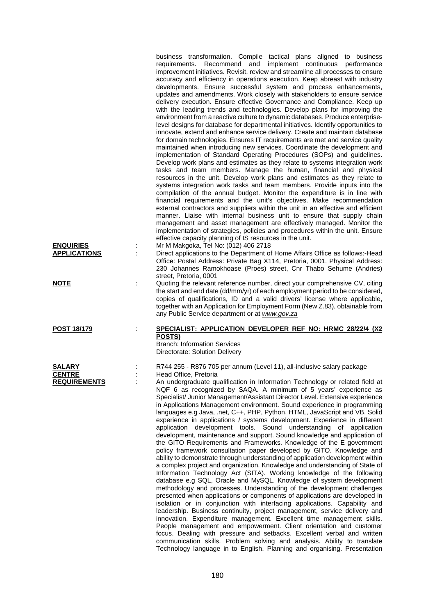| <b>ENQUIRIES</b>                               |   | business transformation. Compile tactical plans aligned to business<br>Recommend and implement continuous performance<br>requirements.<br>improvement initiatives. Revisit, review and streamline all processes to ensure<br>accuracy and efficiency in operations execution. Keep abreast with industry<br>developments. Ensure successful system and process enhancements,<br>updates and amendments. Work closely with stakeholders to ensure service<br>delivery execution. Ensure effective Governance and Compliance. Keep up<br>with the leading trends and technologies. Develop plans for improving the<br>environment from a reactive culture to dynamic databases. Produce enterprise-<br>level designs for database for departmental initiatives. Identify opportunities to<br>innovate, extend and enhance service delivery. Create and maintain database<br>for domain technologies. Ensures IT requirements are met and service quality<br>maintained when introducing new services. Coordinate the development and<br>implementation of Standard Operating Procedures (SOPs) and guidelines.<br>Develop work plans and estimates as they relate to systems integration work<br>tasks and team members. Manage the human, financial and physical<br>resources in the unit. Develop work plans and estimates as they relate to<br>systems integration work tasks and team members. Provide inputs into the<br>compilation of the annual budget. Monitor the expenditure is in line with<br>financial requirements and the unit's objectives. Make recommendation<br>external contractors and suppliers within the unit in an effective and efficient<br>manner. Liaise with internal business unit to ensure that supply chain<br>management and asset management are effectively managed. Monitor the<br>implementation of strategies, policies and procedures within the unit. Ensure<br>effective capacity planning of IS resources in the unit.<br>Mr M Makgoka, Tel No: (012) 406 2718 |
|------------------------------------------------|---|-----------------------------------------------------------------------------------------------------------------------------------------------------------------------------------------------------------------------------------------------------------------------------------------------------------------------------------------------------------------------------------------------------------------------------------------------------------------------------------------------------------------------------------------------------------------------------------------------------------------------------------------------------------------------------------------------------------------------------------------------------------------------------------------------------------------------------------------------------------------------------------------------------------------------------------------------------------------------------------------------------------------------------------------------------------------------------------------------------------------------------------------------------------------------------------------------------------------------------------------------------------------------------------------------------------------------------------------------------------------------------------------------------------------------------------------------------------------------------------------------------------------------------------------------------------------------------------------------------------------------------------------------------------------------------------------------------------------------------------------------------------------------------------------------------------------------------------------------------------------------------------------------------------------------------------------------------------------------------------------------------------|
| <b>APPLICATIONS</b>                            | ÷ | Direct applications to the Department of Home Affairs Office as follows:-Head<br>Office: Postal Address: Private Bag X114, Pretoria, 0001. Physical Address:<br>230 Johannes Ramokhoase (Proes) street, Cnr Thabo Sehume (Andries)<br>street, Pretoria, 0001                                                                                                                                                                                                                                                                                                                                                                                                                                                                                                                                                                                                                                                                                                                                                                                                                                                                                                                                                                                                                                                                                                                                                                                                                                                                                                                                                                                                                                                                                                                                                                                                                                                                                                                                              |
| <b>NOTE</b>                                    |   | Quoting the relevant reference number, direct your comprehensive CV, citing<br>the start and end date (dd/mm/yr) of each employment period to be considered,<br>copies of qualifications, ID and a valid drivers' license where applicable,<br>together with an Application for Employment Form (New Z.83), obtainable from<br>any Public Service department or at www.gov.za                                                                                                                                                                                                                                                                                                                                                                                                                                                                                                                                                                                                                                                                                                                                                                                                                                                                                                                                                                                                                                                                                                                                                                                                                                                                                                                                                                                                                                                                                                                                                                                                                             |
| <u>POST 18/179</u>                             |   | SPECIALIST: APPLICATION DEVELOPER REF NO: HRMC 28/22/4 (X2<br>POSTS)<br><b>Branch: Information Services</b><br>Directorate: Solution Delivery                                                                                                                                                                                                                                                                                                                                                                                                                                                                                                                                                                                                                                                                                                                                                                                                                                                                                                                                                                                                                                                                                                                                                                                                                                                                                                                                                                                                                                                                                                                                                                                                                                                                                                                                                                                                                                                             |
| SALARY<br><b>CENTRE</b><br><u>REQUIREMENTS</u> |   | R744 255 - R876 705 per annum (Level 11), all-inclusive salary package<br>Head Office, Pretoria<br>An undergraduate qualification in Information Technology or related field at<br>NQF 6 as recognized by SAQA. A minimum of 5 years' experience as<br>Specialist/ Junior Management/Assistant Director Level. Extensive experience<br>in Applications Management environment. Sound experience in programming<br>languages e.g Java, .net, C++, PHP, Python, HTML, JavaScript and VB. Solid<br>experience in applications / systems development. Experience in different<br>application development tools. Sound understanding of application<br>development, maintenance and support. Sound knowledge and application of<br>the GITO Requirements and Frameworks. Knowledge of the E government<br>policy framework consultation paper developed by GITO. Knowledge and<br>ability to demonstrate through understanding of application development within<br>a complex project and organization. Knowledge and understanding of State of<br>Information Technology Act (SITA). Working knowledge of the following<br>database e.g SQL, Oracle and MySQL. Knowledge of system development<br>methodology and processes. Understanding of the development challenges<br>presented when applications or components of applications are developed in<br>isolation or in conjunction with interfacing applications. Capability and<br>leadership. Business continuity, project management, service delivery and<br>innovation. Expenditure management. Excellent time management skills.<br>People management and empowerment. Client orientation and customer<br>focus. Dealing with pressure and setbacks. Excellent verbal and written<br>communication skills. Problem solving and analysis. Ability to translate                                                                                                                                                                                        |

Technology language in to English. Planning and organising. Presentation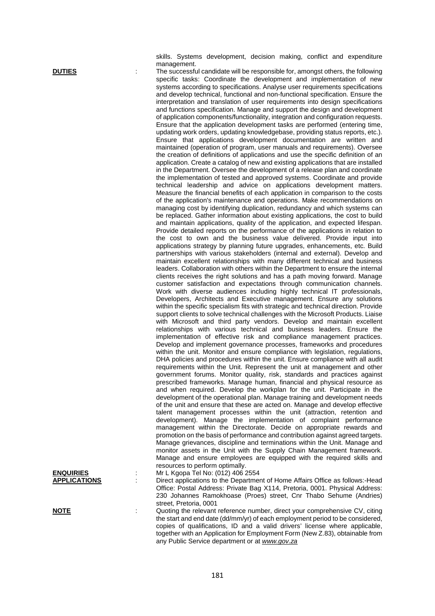skills. Systems development, decision making, conflict and expenditure management.

**DUTIES** The successful candidate will be responsible for, amongst others, the following specific tasks: Coordinate the development and implementation of new systems according to specifications. Analyse user requirements specifications and develop technical, functional and non-functional specification. Ensure the interpretation and translation of user requirements into design specifications and functions specification. Manage and support the design and development of application components/functionality, integration and configuration requests. Ensure that the application development tasks are performed (entering time, updating work orders, updating knowledgebase, providing status reports, etc.). Ensure that applications development documentation are written and maintained (operation of program, user manuals and requirements). Oversee the creation of definitions of applications and use the specific definition of an application. Create a catalog of new and existing applications that are installed in the Department. Oversee the development of a release plan and coordinate the implementation of tested and approved systems. Coordinate and provide technical leadership and advice on applications development matters. Measure the financial benefits of each application in comparison to the costs of the application's maintenance and operations. Make recommendations on managing cost by identifying duplication, redundancy and which systems can be replaced. Gather information about existing applications, the cost to build and maintain applications, quality of the application, and expected lifespan. Provide detailed reports on the performance of the applications in relation to the cost to own and the business value delivered. Provide input into applications strategy by planning future upgrades, enhancements, etc. Build partnerships with various stakeholders (internal and external). Develop and maintain excellent relationships with many different technical and business leaders. Collaboration with others within the Department to ensure the internal clients receives the right solutions and has a path moving forward. Manage customer satisfaction and expectations through communication channels. Work with diverse audiences including highly technical IT professionals, Developers, Architects and Executive management. Ensure any solutions within the specific specialism fits with strategic and technical direction. Provide support clients to solve technical challenges with the Microsoft Products. Liaise with Microsoft and third party vendors. Develop and maintain excellent relationships with various technical and business leaders. Ensure the implementation of effective risk and compliance management practices. Develop and implement governance processes, frameworks and procedures within the unit. Monitor and ensure compliance with legislation, regulations, DHA policies and procedures within the unit. Ensure compliance with all audit requirements within the Unit. Represent the unit at management and other government forums. Monitor quality, risk, standards and practices against prescribed frameworks. Manage human, financial and physical resource as and when required. Develop the workplan for the unit. Participate in the development of the operational plan. Manage training and development needs of the unit and ensure that these are acted on. Manage and develop effective talent management processes within the unit (attraction, retention and development). Manage the implementation of complaint performance management within the Directorate. Decide on appropriate rewards and promotion on the basis of performance and contribution against agreed targets. Manage grievances, discipline and terminations within the Unit. Manage and monitor assets in the Unit with the Supply Chain Management framework. Manage and ensure employees are equipped with the required skills and resources to perform optimally.

|                     | resources to perform optimally.                                                                                                                                                                                                                                                                                             |
|---------------------|-----------------------------------------------------------------------------------------------------------------------------------------------------------------------------------------------------------------------------------------------------------------------------------------------------------------------------|
| <b>ENQUIRIES</b>    | Mr L Kgopa Tel No: (012) 406 2554                                                                                                                                                                                                                                                                                           |
| <b>APPLICATIONS</b> | Direct applications to the Department of Home Affairs Office as follows:-Head                                                                                                                                                                                                                                               |
|                     | Office: Postal Address: Private Bag X114, Pretoria, 0001. Physical Address:                                                                                                                                                                                                                                                 |
|                     | 230 Johannes Ramokhoase (Proes) street, Cnr Thabo Sehume (Andries)<br>street, Pretoria, 0001                                                                                                                                                                                                                                |
| <b>NOTE</b>         | Quoting the relevant reference number, direct your comprehensive CV, citing<br>the start and end date (dd/mm/yr) of each employment period to be considered,<br>copies of qualifications, ID and a valid drivers' license where applicable,<br>together with an Application for Employment Form (New Z.83), obtainable from |

any Public Service department or at *[www.gov.za](http://www.gov.za/)*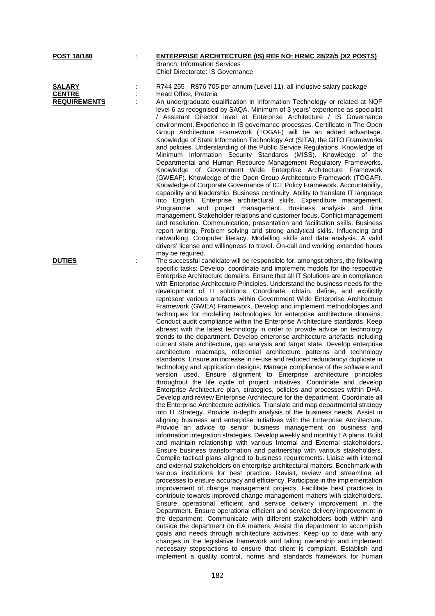| <b>POST 18/180</b>                                    | <b>ENTERPRISE ARCHITECTURE (IS) REF NO: HRMC 28/22/5 (X2 POSTS)</b><br><b>Branch: Information Services</b><br>Chief Directorate: IS Governance                                                                                                                                                                                                                                                                                                                                                                                                                                                                                                                                                                                                                                                                                                                                                                                                                                                                                                                                                                                                                                                                                                                                                                                                                                                                                                                                                                                                                                                                                                                                                                                                                                                                                                                                                                                                                                                                                                                                                                                                                                                                                                                                                                                                                                                                                                                                                                                                                                                                                                                                                                                                                                                                                                                                                                                                                                                                                                                                                                                                                                                                                            |
|-------------------------------------------------------|-------------------------------------------------------------------------------------------------------------------------------------------------------------------------------------------------------------------------------------------------------------------------------------------------------------------------------------------------------------------------------------------------------------------------------------------------------------------------------------------------------------------------------------------------------------------------------------------------------------------------------------------------------------------------------------------------------------------------------------------------------------------------------------------------------------------------------------------------------------------------------------------------------------------------------------------------------------------------------------------------------------------------------------------------------------------------------------------------------------------------------------------------------------------------------------------------------------------------------------------------------------------------------------------------------------------------------------------------------------------------------------------------------------------------------------------------------------------------------------------------------------------------------------------------------------------------------------------------------------------------------------------------------------------------------------------------------------------------------------------------------------------------------------------------------------------------------------------------------------------------------------------------------------------------------------------------------------------------------------------------------------------------------------------------------------------------------------------------------------------------------------------------------------------------------------------------------------------------------------------------------------------------------------------------------------------------------------------------------------------------------------------------------------------------------------------------------------------------------------------------------------------------------------------------------------------------------------------------------------------------------------------------------------------------------------------------------------------------------------------------------------------------------------------------------------------------------------------------------------------------------------------------------------------------------------------------------------------------------------------------------------------------------------------------------------------------------------------------------------------------------------------------------------------------------------------------------------------------------------------|
| <b>SALARY</b><br><b>CENTRE</b><br><b>REQUIREMENTS</b> | R744 255 - R876 705 per annum (Level 11), all-inclusive salary package<br>Head Office, Pretoria<br>An undergraduate qualification in Information Technology or related at NQF<br>level 6 as recognised by SAQA. Minimum of 3 years' experience as specialist<br>/ Assistant Director level at Enterprise Architecture / IS Governance<br>environment. Experience in IS governance processes. Certificate in The Open<br>Group Architecture Framework (TOGAF) will be an added advantage.<br>Knowledge of State Information Technology Act (SITA), the GITO Frameworks<br>and policies. Understanding of the Public Service Regulations. Knowledge of<br>Minimum Information Security Standards (MISS). Knowledge of the<br>Departmental and Human Resource Management Regulatory Frameworks.<br>Knowledge of Government Wide Enterprise Architecture Framework<br>(GWEAF). Knowledge of the Open Group Architecture Framework (TOGAF).<br>Knowledge of Corporate Governance of ICT Policy Framework. Accountability,<br>capability and leadership. Business continuity. Ability to translate IT language<br>into English. Enterprise architectural skills. Expenditure management.<br>Programme and project management. Business analysis and time<br>management. Stakeholder relations and customer focus. Conflict management<br>and resolution. Communication, presentation and facilitation skills. Business                                                                                                                                                                                                                                                                                                                                                                                                                                                                                                                                                                                                                                                                                                                                                                                                                                                                                                                                                                                                                                                                                                                                                                                                                                                                                                                                                                                                                                                                                                                                                                                                                                                                                                                                                                                                                          |
|                                                       | report writing. Problem solving and strong analytical skills. Influencing and<br>networking. Computer literacy. Modelling skills and data analysis. A valid<br>drivers' license and willingness to travel. On-call and working extended hours<br>may be required.                                                                                                                                                                                                                                                                                                                                                                                                                                                                                                                                                                                                                                                                                                                                                                                                                                                                                                                                                                                                                                                                                                                                                                                                                                                                                                                                                                                                                                                                                                                                                                                                                                                                                                                                                                                                                                                                                                                                                                                                                                                                                                                                                                                                                                                                                                                                                                                                                                                                                                                                                                                                                                                                                                                                                                                                                                                                                                                                                                         |
| <b>DUTIES</b>                                         | The successful candidate will be responsible for, amongst others, the following<br>specific tasks: Develop, coordinate and implement models for the respective<br>Enterprise Architecture domains. Ensure that all IT Solutions are in compliance<br>with Enterprise Architecture Principles. Understand the business needs for the<br>development of IT solutions. Coordinate, obtain, define, and explicitly<br>represent various artefacts within Government Wide Enterprise Architecture<br>Framework (GWEA) Framework. Develop and implement methodologies and<br>techniques for modelling technologies for enterprise architecture domains.<br>Conduct audit compliance within the Enterprise Architecture standards. Keep<br>abreast with the latest technology in order to provide advice on technology<br>trends to the department. Develop enterprise architecture artefacts including<br>current state architecture, gap analysis and target state. Develop enterprise<br>architecture roadmaps, referential architecture patterns and technology<br>standards. Ensure an increase in re-use and reduced redundancy/ duplicate in<br>technology and application designs. Manage compliance of the software and<br>version used. Ensure alignment to Enterprise architecture principles<br>throughout the life cycle of project initiatives. Coordinate and develop<br>Enterprise Architecture plan, strategies, policies and processes within DHA.<br>Develop and review Enterprise Architecture for the department. Coordinate all<br>the Enterprise Architecture activities. Translate and map departmental strategy<br>into IT Strategy. Provide in-depth analysis of the business needs. Assist in<br>aligning business and enterprise initiatives with the Enterprise Architecture.<br>Provide an advice to senior business management on business and<br>information integration strategies. Develop weekly and monthly EA plans. Build<br>and maintain relationship with various Internal and External stakeholders.<br>Ensure business transformation and partnership with various stakeholders.<br>Compile tactical plans aligned to business requirements. Liaise with internal<br>and external stakeholders on enterprise architectural matters. Benchmark with<br>various institutions for best practice. Revisit, review and streamline all<br>processes to ensure accuracy and efficiency. Participate in the implementation<br>improvement of change management projects. Facilitate best practices to<br>contribute towards improved change management matters with stakeholders.<br>Ensure operational efficient and service delivery improvement in the<br>Department. Ensure operational efficient and service delivery improvement in<br>the department. Communicate with different stakeholders both within and<br>outside the department on EA matters. Assist the department to accomplish<br>goals and needs through architecture activities. Keep up to date with any<br>changes in the legislative framework and taking ownership and implement<br>necessary steps/actions to ensure that client is compliant. Establish and<br>implement a quality control, norms and standards framework for human |

182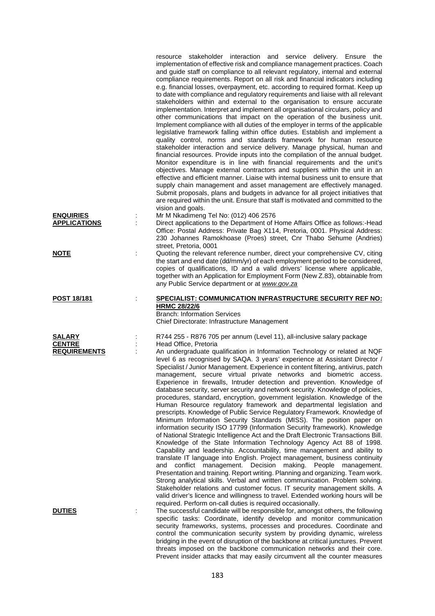|                                                       |   | resource stakeholder interaction and service delivery. Ensure the<br>implementation of effective risk and compliance management practices. Coach<br>and guide staff on compliance to all relevant regulatory, internal and external<br>compliance requirements. Report on all risk and financial indicators including<br>e.g. financial losses, overpayment, etc. according to required format. Keep up<br>to date with compliance and regulatory requirements and liaise with all relevant<br>stakeholders within and external to the organisation to ensure accurate<br>implementation. Interpret and implement all organisational circulars, policy and<br>other communications that impact on the operation of the business unit.<br>Implement compliance with all duties of the employer in terms of the applicable<br>legislative framework falling within office duties. Establish and implement a<br>quality control, norms and standards framework for human resource<br>stakeholder interaction and service delivery. Manage physical, human and<br>financial resources. Provide inputs into the compilation of the annual budget.<br>Monitor expenditure is in line with financial requirements and the unit's<br>objectives. Manage external contractors and suppliers within the unit in an<br>effective and efficient manner. Liaise with internal business unit to ensure that<br>supply chain management and asset management are effectively managed.<br>Submit proposals, plans and budgets in advance for all project initiatives that<br>are required within the unit. Ensure that staff is motivated and committed to the<br>vision and goals.                                                                                                           |
|-------------------------------------------------------|---|-------------------------------------------------------------------------------------------------------------------------------------------------------------------------------------------------------------------------------------------------------------------------------------------------------------------------------------------------------------------------------------------------------------------------------------------------------------------------------------------------------------------------------------------------------------------------------------------------------------------------------------------------------------------------------------------------------------------------------------------------------------------------------------------------------------------------------------------------------------------------------------------------------------------------------------------------------------------------------------------------------------------------------------------------------------------------------------------------------------------------------------------------------------------------------------------------------------------------------------------------------------------------------------------------------------------------------------------------------------------------------------------------------------------------------------------------------------------------------------------------------------------------------------------------------------------------------------------------------------------------------------------------------------------------------------------------------------------------------------------------------------------------------|
| <b>ENQUIRIES</b><br><b>APPLICATIONS</b>               |   | Mr M Nkadimeng Tel No: (012) 406 2576<br>Direct applications to the Department of Home Affairs Office as follows:-Head<br>Office: Postal Address: Private Bag X114, Pretoria, 0001. Physical Address:<br>230 Johannes Ramokhoase (Proes) street, Cnr Thabo Sehume (Andries)                                                                                                                                                                                                                                                                                                                                                                                                                                                                                                                                                                                                                                                                                                                                                                                                                                                                                                                                                                                                                                                                                                                                                                                                                                                                                                                                                                                                                                                                                                   |
| <b>NOTE</b>                                           |   | street, Pretoria, 0001<br>Quoting the relevant reference number, direct your comprehensive CV, citing<br>the start and end date (dd/mm/yr) of each employment period to be considered,<br>copies of qualifications, ID and a valid drivers' license where applicable,<br>together with an Application for Employment Form (New Z.83), obtainable from<br>any Public Service department or at www.gov.za                                                                                                                                                                                                                                                                                                                                                                                                                                                                                                                                                                                                                                                                                                                                                                                                                                                                                                                                                                                                                                                                                                                                                                                                                                                                                                                                                                       |
| <b>POST 18/181</b>                                    | ÷ | SPECIALIST: COMMUNICATION INFRASTRUCTURE SECURITY REF NO:<br><b>HRMC 28/22/6</b><br><b>Branch: Information Services</b><br>Chief Directorate: Infrastructure Management                                                                                                                                                                                                                                                                                                                                                                                                                                                                                                                                                                                                                                                                                                                                                                                                                                                                                                                                                                                                                                                                                                                                                                                                                                                                                                                                                                                                                                                                                                                                                                                                       |
| <b>SALARY</b><br><b>CENTRE</b><br><b>REQUIREMENTS</b> |   | R744 255 - R876 705 per annum (Level 11), all-inclusive salary package<br>Head Office, Pretoria<br>An undergraduate qualification in Information Technology or related at NQF<br>level 6 as recognised by SAQA. 3 years' experience at Assistant Director /<br>Specialist / Junior Management. Experience in content filtering, antivirus, patch<br>management, secure virtual private networks and biometric access.<br>Experience in firewalls, Intruder detection and prevention. Knowledge of<br>database security, server security and network security. Knowledge of policies,<br>procedures, standard, encryption, government legislation. Knowledge of the<br>Human Resource regulatory framework and departmental legislation and<br>prescripts. Knowledge of Public Service Regulatory Framework. Knowledge of<br>Minimum Information Security Standards (MISS). The position paper on<br>information security ISO 17799 (Information Security framework). Knowledge<br>of National Strategic Intelligence Act and the Draft Electronic Transactions Bill.<br>Knowledge of the State Information Technology Agency Act 88 of 1998.<br>Capability and leadership. Accountability, time management and ability to<br>translate IT language into English. Project management, business continuity<br>conflict management. Decision making. People management.<br>and<br>Presentation and training. Report writing. Planning and organizing. Team work.<br>Strong analytical skills. Verbal and written communication. Problem solving.<br>Stakeholder relations and customer focus. IT security management skills. A<br>valid driver's licence and willingness to travel. Extended working hours will be<br>required. Perform on-call duties is required occasionally. |
| <b>DUTIES</b>                                         | ÷ | The successful candidate will be responsible for, amongst others, the following<br>specific tasks: Coordinate, identify develop and monitor communication<br>security frameworks, systems, processes and procedures. Coordinate and<br>control the communication security system by providing dynamic, wireless<br>bridging in the event of disruption of the backbone at critical junctures. Prevent<br>threats imposed on the backbone communication networks and their core.                                                                                                                                                                                                                                                                                                                                                                                                                                                                                                                                                                                                                                                                                                                                                                                                                                                                                                                                                                                                                                                                                                                                                                                                                                                                                               |

Prevent insider attacks that may easily circumvent all the counter measures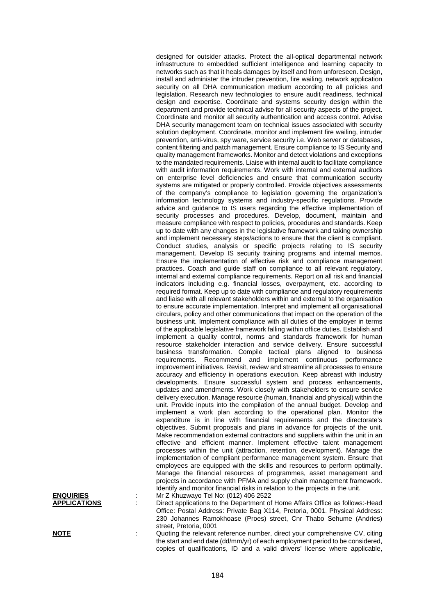|                                         | designed for outsider attacks. Protect the all-optical departmental network<br>infrastructure to embedded sufficient intelligence and learning capacity to<br>networks such as that it heals damages by itself and from unforeseen. Design,<br>install and administer the intruder prevention, fire wailing, network application<br>security on all DHA communication medium according to all policies and |
|-----------------------------------------|------------------------------------------------------------------------------------------------------------------------------------------------------------------------------------------------------------------------------------------------------------------------------------------------------------------------------------------------------------------------------------------------------------|
|                                         | legislation. Research new technologies to ensure audit readiness, technical<br>design and expertise. Coordinate and systems security design within the<br>department and provide technical advise for all security aspects of the project.<br>Coordinate and monitor all security authentication and access control. Advise                                                                                |
|                                         | DHA security management team on technical issues associated with security<br>solution deployment. Coordinate, monitor and implement fire wailing, intruder                                                                                                                                                                                                                                                 |
|                                         | prevention, anti-virus, spy ware, service security i.e. Web server or databases,<br>content filtering and patch management. Ensure compliance to IS Security and<br>quality management frameworks. Monitor and detect violations and exceptions                                                                                                                                                            |
|                                         | to the mandated requirements. Liaise with internal audit to facilitate compliance<br>with audit information requirements. Work with internal and external auditors<br>on enterprise level deficiencies and ensure that communication security                                                                                                                                                              |
|                                         | systems are mitigated or properly controlled. Provide objectives assessments<br>of the company's compliance to legislation governing the organization's<br>information technology systems and industry-specific regulations. Provide<br>advice and guidance to IS users regarding the effective implementation of                                                                                          |
|                                         | security processes and procedures. Develop, document, maintain and<br>measure compliance with respect to policies, procedures and standards. Keep<br>up to date with any changes in the legislative framework and taking ownership<br>and implement necessary steps/actions to ensure that the client is compliant.                                                                                        |
|                                         | Conduct studies, analysis or specific projects relating to IS security<br>management. Develop IS security training programs and internal memos.<br>Ensure the implementation of effective risk and compliance management                                                                                                                                                                                   |
|                                         | practices. Coach and guide staff on compliance to all relevant regulatory,<br>internal and external compliance requirements. Report on all risk and financial<br>indicators including e.g. financial losses, overpayment, etc. according to                                                                                                                                                                |
|                                         | required format. Keep up to date with compliance and regulatory requirements<br>and liaise with all relevant stakeholders within and external to the organisation<br>to ensure accurate implementation. Interpret and implement all organisational                                                                                                                                                         |
|                                         | circulars, policy and other communications that impact on the operation of the<br>business unit. Implement compliance with all duties of the employer in terms<br>of the applicable legislative framework falling within office duties. Establish and<br>implement a quality control, norms and standards framework for human                                                                              |
|                                         | resource stakeholder interaction and service delivery. Ensure successful<br>business transformation. Compile tactical plans aligned to business<br>requirements. Recommend and implement continuous performance                                                                                                                                                                                            |
|                                         | improvement initiatives. Revisit, review and streamline all processes to ensure<br>accuracy and efficiency in operations execution. Keep abreast with industry<br>developments. Ensure successful system and process enhancements,                                                                                                                                                                         |
|                                         | updates and amendments. Work closely with stakeholders to ensure service<br>delivery execution. Manage resource (human, financial and physical) within the<br>unit. Provide inputs into the compilation of the annual budget. Develop and<br>implement a work plan according to the operational plan. Monitor the                                                                                          |
|                                         | expenditure is in line with financial requirements and the directorate's<br>objectives. Submit proposals and plans in advance for projects of the unit.<br>Make recommendation external contractors and suppliers within the unit in an                                                                                                                                                                    |
|                                         | effective and efficient manner. Implement effective talent management<br>processes within the unit (attraction, retention, development). Manage the<br>implementation of compliant performance management system. Ensure that                                                                                                                                                                              |
|                                         | employees are equipped with the skills and resources to perform optimally.<br>Manage the financial resources of programmes, asset management and<br>projects in accordance with PFMA and supply chain management framework.                                                                                                                                                                                |
| <b>ENQUIRIES</b><br><b>APPLICATIONS</b> | Identify and monitor financial risks in relation to the projects in the unit.<br>Mr Z Khuzwayo Tel No: (012) 406 2522<br>Direct applications to the Department of Home Affairs Office as follows:-Head                                                                                                                                                                                                     |
|                                         | Office: Postal Address: Private Bag X114, Pretoria, 0001. Physical Address:<br>230 Johannes Ramokhoase (Proes) street, Cnr Thabo Sehume (Andries)<br>street, Pretoria, 0001                                                                                                                                                                                                                                |
| <b>NOTE</b>                             | Quoting the relevant reference number, direct your comprehensive CV, citing<br>the start and end date (dd/mm/yr) of each employment period to be considered,<br>copies of qualifications, ID and a valid drivers' license where applicable,                                                                                                                                                                |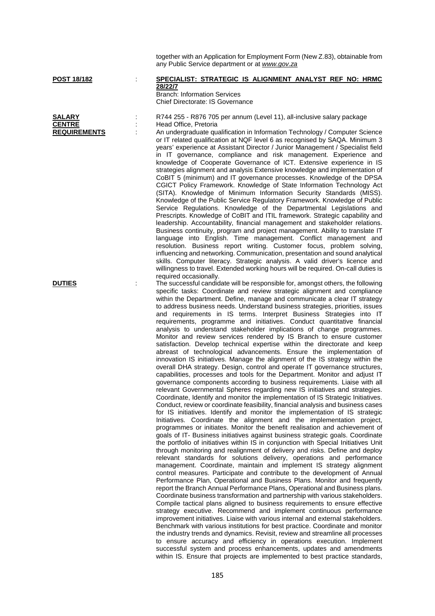|                                                       |   | together with an Application for Employment Form (New Z.83), obtainable from<br>any Public Service department or at www.gov.za                                                                                                                                                                                                                                                                                                                                                                                                                                                                                                                                                                                                                                                                                                                                                                                                                                                                                                                                                                                                                                                                                                                                                                                                                                                                                                                                                                                                                                                                                                                                                                                                                                                                                                                                                                                                                                                                                                                                                                                                                                                                                                                                                                                                                                                                                                                                                                                                                                                                                                                                                                                                                                                                                                                                                                                                                                                                                 |
|-------------------------------------------------------|---|----------------------------------------------------------------------------------------------------------------------------------------------------------------------------------------------------------------------------------------------------------------------------------------------------------------------------------------------------------------------------------------------------------------------------------------------------------------------------------------------------------------------------------------------------------------------------------------------------------------------------------------------------------------------------------------------------------------------------------------------------------------------------------------------------------------------------------------------------------------------------------------------------------------------------------------------------------------------------------------------------------------------------------------------------------------------------------------------------------------------------------------------------------------------------------------------------------------------------------------------------------------------------------------------------------------------------------------------------------------------------------------------------------------------------------------------------------------------------------------------------------------------------------------------------------------------------------------------------------------------------------------------------------------------------------------------------------------------------------------------------------------------------------------------------------------------------------------------------------------------------------------------------------------------------------------------------------------------------------------------------------------------------------------------------------------------------------------------------------------------------------------------------------------------------------------------------------------------------------------------------------------------------------------------------------------------------------------------------------------------------------------------------------------------------------------------------------------------------------------------------------------------------------------------------------------------------------------------------------------------------------------------------------------------------------------------------------------------------------------------------------------------------------------------------------------------------------------------------------------------------------------------------------------------------------------------------------------------------------------------------------------|
| POST 18/182                                           |   | SPECIALIST: STRATEGIC IS ALIGNMENT ANALYST REF NO: HRMC<br>28/22/7<br><b>Branch: Information Services</b><br>Chief Directorate: IS Governance                                                                                                                                                                                                                                                                                                                                                                                                                                                                                                                                                                                                                                                                                                                                                                                                                                                                                                                                                                                                                                                                                                                                                                                                                                                                                                                                                                                                                                                                                                                                                                                                                                                                                                                                                                                                                                                                                                                                                                                                                                                                                                                                                                                                                                                                                                                                                                                                                                                                                                                                                                                                                                                                                                                                                                                                                                                                  |
| <b>SALARY</b><br><b>CENTRE</b><br><b>REQUIREMENTS</b> | ċ | R744 255 - R876 705 per annum (Level 11), all-inclusive salary package<br>Head Office, Pretoria<br>An undergraduate qualification in Information Technology / Computer Science<br>or IT related qualification at NQF level 6 as recognised by SAQA. Minimum 3<br>years' experience at Assistant Director / Junior Management / Specialist field<br>in IT governance, compliance and risk management. Experience and<br>knowledge of Cooperate Governance of ICT. Extensive experience in IS<br>strategies alignment and analysis Extensive knowledge and implementation of<br>CoBIT 5 (minimum) and IT governance processes. Knowledge of the DPSA<br>CGICT Policy Framework. Knowledge of State Information Technology Act<br>(SITA). Knowledge of Minimum Information Security Standards (MISS).<br>Knowledge of the Public Service Regulatory Framework. Knowledge of Public<br>Service Regulations. Knowledge of the Departmental Legislations and<br>Prescripts. Knowledge of CoBIT and ITIL framework. Strategic capability and<br>leadership. Accountability, financial management and stakeholder relations.<br>Business continuity, program and project management. Ability to translate IT<br>language into English. Time management. Conflict management and<br>resolution. Business report writing. Customer focus, problem solving,<br>influencing and networking. Communication, presentation and sound analytical<br>skills. Computer literacy. Strategic analysis. A valid driver's licence and<br>willingness to travel. Extended working hours will be required. On-call duties is                                                                                                                                                                                                                                                                                                                                                                                                                                                                                                                                                                                                                                                                                                                                                                                                                                                                                                                                                                                                                                                                                                                                                                                                                                                                                                                                                                                                           |
| <b>DUTIES</b>                                         | ÷ | required occasionally.<br>The successful candidate will be responsible for, amongst others, the following<br>specific tasks: Coordinate and review strategic alignment and compliance<br>within the Department. Define, manage and communicate a clear IT strategy<br>to address business needs. Understand business strategies, priorities, issues<br>and requirements in IS terms. Interpret Business Strategies into IT<br>requirements, programme and initiatives. Conduct quantitative financial<br>analysis to understand stakeholder implications of change programmes.<br>Monitor and review services rendered by IS Branch to ensure customer<br>satisfaction. Develop technical expertise within the directorate and keep<br>abreast of technological advancements. Ensure the implementation of<br>innovation IS initiatives. Manage the alignment of the IS strategy within the<br>overall DHA strategy. Design, control and operate IT governance structures,<br>capabilities, processes and tools for the Department. Monitor and adjust IT<br>governance components according to business requirements. Liaise with all<br>relevant Governmental Spheres regarding new IS initiatives and strategies.<br>Coordinate, Identify and monitor the implementation of IS Strategic Initiatives.<br>Conduct, review or coordinate feasibility, financial analysis and business cases<br>for IS initiatives. Identify and monitor the implementation of IS strategic<br>Initiatives. Coordinate the alignment and the implementation project,<br>programmes or initiates. Monitor the benefit realisation and achievement of<br>goals of IT- Business initiatives against business strategic goals. Coordinate<br>the portfolio of initiatives within IS in conjunction with Special Initiatives Unit<br>through monitoring and realignment of delivery and risks. Define and deploy<br>relevant standards for solutions delivery, operations and performance<br>management. Coordinate, maintain and implement IS strategy alignment<br>control measures. Participate and contribute to the development of Annual<br>Performance Plan, Operational and Business Plans. Monitor and frequently<br>report the Branch Annual Performance Plans, Operational and Business plans.<br>Coordinate business transformation and partnership with various stakeholders.<br>Compile tactical plans aligned to business requirements to ensure effective<br>strategy executive. Recommend and implement continuous performance<br>improvement initiatives. Liaise with various internal and external stakeholders.<br>Benchmark with various institutions for best practice. Coordinate and monitor<br>the industry trends and dynamics. Revisit, review and streamline all processes<br>to ensure accuracy and efficiency in operations execution. Implement<br>successful system and process enhancements, updates and amendments<br>within IS. Ensure that projects are implemented to best practice standards, |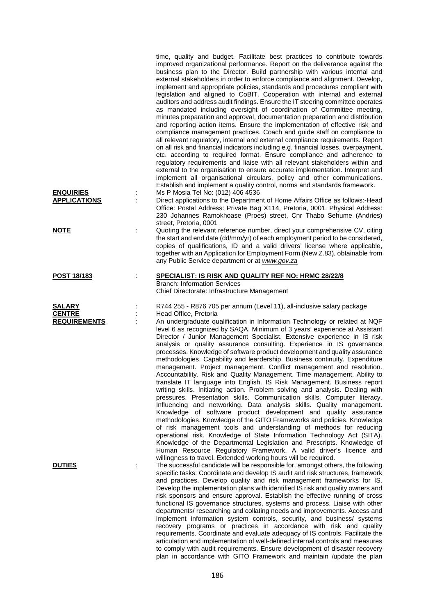|                                                       | time, quality and budget. Facilitate best practices to contribute towards<br>improved organizational performance. Report on the deliverance against the<br>business plan to the Director. Build partnership with various internal and<br>external stakeholders in order to enforce compliance and alignment. Develop,<br>implement and appropriate policies, standards and procedures compliant with<br>legislation and aligned to CoBIT. Cooperation with internal and external<br>auditors and address audit findings. Ensure the IT steering committee operates<br>as mandated including oversight of coordination of Committee meeting,<br>minutes preparation and approval, documentation preparation and distribution<br>and reporting action items. Ensure the implementation of effective risk and<br>compliance management practices. Coach and guide staff on compliance to<br>all relevant regulatory, internal and external compliance requirements. Report<br>on all risk and financial indicators including e.g. financial losses, overpayment,<br>etc. according to required format. Ensure compliance and adherence to<br>regulatory requirements and liaise with all relevant stakeholders within and<br>external to the organisation to ensure accurate implementation. Interpret and<br>implement all organisational circulars, policy and other communications.<br>Establish and implement a quality control, norms and standards framework.                                                                                                   |  |
|-------------------------------------------------------|--------------------------------------------------------------------------------------------------------------------------------------------------------------------------------------------------------------------------------------------------------------------------------------------------------------------------------------------------------------------------------------------------------------------------------------------------------------------------------------------------------------------------------------------------------------------------------------------------------------------------------------------------------------------------------------------------------------------------------------------------------------------------------------------------------------------------------------------------------------------------------------------------------------------------------------------------------------------------------------------------------------------------------------------------------------------------------------------------------------------------------------------------------------------------------------------------------------------------------------------------------------------------------------------------------------------------------------------------------------------------------------------------------------------------------------------------------------------------------------------------------------------------------------------------------------------|--|
| <b>ENQUIRIES</b>                                      | Ms P Mosia Tel No: (012) 406 4536                                                                                                                                                                                                                                                                                                                                                                                                                                                                                                                                                                                                                                                                                                                                                                                                                                                                                                                                                                                                                                                                                                                                                                                                                                                                                                                                                                                                                                                                                                                                  |  |
| <b>APPLICATIONS</b>                                   | Direct applications to the Department of Home Affairs Office as follows:-Head<br>Office: Postal Address: Private Bag X114, Pretoria, 0001. Physical Address:<br>230 Johannes Ramokhoase (Proes) street, Cnr Thabo Sehume (Andries)<br>street, Pretoria, 0001                                                                                                                                                                                                                                                                                                                                                                                                                                                                                                                                                                                                                                                                                                                                                                                                                                                                                                                                                                                                                                                                                                                                                                                                                                                                                                       |  |
| <b>NOTE</b>                                           | Quoting the relevant reference number, direct your comprehensive CV, citing<br>the start and end date (dd/mm/yr) of each employment period to be considered,<br>copies of qualifications, ID and a valid drivers' license where applicable,<br>together with an Application for Employment Form (New Z.83), obtainable from<br>any Public Service department or at www.gov.za                                                                                                                                                                                                                                                                                                                                                                                                                                                                                                                                                                                                                                                                                                                                                                                                                                                                                                                                                                                                                                                                                                                                                                                      |  |
| POST 18/183                                           | SPECIALIST: IS RISK AND QUALITY REF NO: HRMC 28/22/8<br><b>Branch: Information Services</b><br>Chief Directorate: Infrastructure Management                                                                                                                                                                                                                                                                                                                                                                                                                                                                                                                                                                                                                                                                                                                                                                                                                                                                                                                                                                                                                                                                                                                                                                                                                                                                                                                                                                                                                        |  |
|                                                       |                                                                                                                                                                                                                                                                                                                                                                                                                                                                                                                                                                                                                                                                                                                                                                                                                                                                                                                                                                                                                                                                                                                                                                                                                                                                                                                                                                                                                                                                                                                                                                    |  |
| <b>SALARY</b><br><b>CENTRE</b><br><b>REQUIREMENTS</b> | R744 255 - R876 705 per annum (Level 11), all-inclusive salary package<br>Head Office, Pretoria<br>An undergraduate qualification in Information Technology or related at NQF<br>level 6 as recognized by SAQA. Minimum of 3 years' experience at Assistant<br>Director / Junior Management Specialist. Extensive experience in IS risk<br>analysis or quality assurance consulting. Experience in IS governance<br>processes. Knowledge of software product development and quality assurance<br>methodologies. Capability and leardership. Business continuity. Expenditure<br>management. Project management. Conflict management and resolution.<br>Accountability. Risk and Quality Management. Time management. Ability to<br>translate IT language into English. IS Risk Management. Business report<br>writing skills. Initiating action. Problem solving and analysis. Dealing with<br>pressures. Presentation skills. Communication skills. Computer literacy.<br>Influencing and networking. Data analysis skills. Quality management.<br>Knowledge of software product development and quality assurance<br>methodologies. Knowledge of the GITO Frameworks and policies. Knowledge<br>of risk management tools and understanding of methods for reducing<br>operational risk. Knowledge of State Information Technology Act (SITA).<br>Knowledge of the Departmental Legislation and Prescripts. Knowledge of<br>Human Resource Regulatory Framework. A valid driver's licence and<br>willingness to travel. Extended working hours will be required. |  |
| <b>DUTIES</b>                                         | The successful candidate will be responsible for, amongst others, the following<br>specific tasks: Coordinate and develop IS audit and risk structures, framework<br>and practices. Develop quality and risk management frameworks for IS.<br>Develop the implementation plans with identified IS risk and quality owners and<br>risk sponsors and ensure approval. Establish the effective running of cross<br>functional IS governance structures, systems and process. Liaise with other<br>departments/researching and collating needs and improvements. Access and<br>implement information system controls, security, and business/ systems<br>recovery programs or practices in accordance with risk and quality<br>requirements. Coordinate and evaluate adequacy of IS controls. Facilitate the<br>articulation and implementation of well-defined internal controls and measures<br>to comply with audit requirements. Ensure development of disaster recovery<br>plan in accordance with GITO Framework and maintain /update the plan                                                                                                                                                                                                                                                                                                                                                                                                                                                                                                                   |  |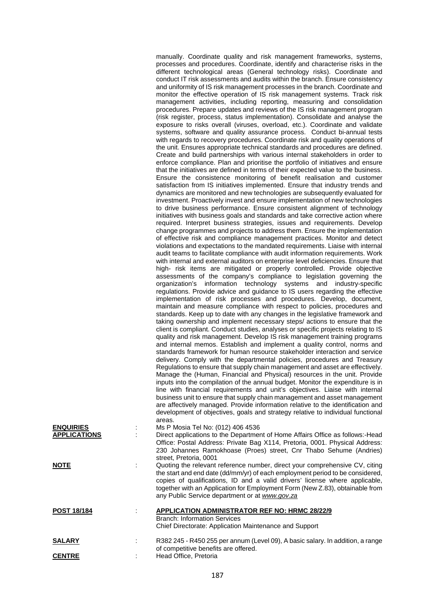|                                         | manually. Coordinate quality and risk management frameworks, systems,<br>processes and procedures. Coordinate, identify and characterise risks in the<br>different technological areas (General technology risks). Coordinate and<br>conduct IT risk assessments and audits within the branch. Ensure consistency<br>and uniformity of IS risk management processes in the branch. Coordinate and<br>monitor the effective operation of IS risk management systems. Track risk<br>management activities, including reporting, measuring and consolidation<br>procedures. Prepare updates and reviews of the IS risk management program<br>(risk register, process, status implementation). Consolidate and analyse the<br>exposure to risks overall (viruses, overload, etc.). Coordinate and validate<br>systems, software and quality assurance process. Conduct bi-annual tests<br>with regards to recovery procedures. Coordinate risk and quality operations of<br>the unit. Ensures appropriate technical standards and procedures are defined.<br>Create and build partnerships with various internal stakeholders in order to<br>enforce compliance. Plan and prioritise the portfolio of initiatives and ensure<br>that the initiatives are defined in terms of their expected value to the business.<br>Ensure the consistence monitoring of benefit realisation and customer<br>satisfaction from IS initiatives implemented. Ensure that industry trends and<br>dynamics are monitored and new technologies are subsequently evaluated for<br>investment. Proactively invest and ensure implementation of new technologies<br>to drive business performance. Ensure consistent alignment of technology<br>initiatives with business goals and standards and take corrective action where<br>required. Interpret business strategies, issues and requirements. Develop<br>change programmes and projects to address them. Ensure the implementation<br>of effective risk and compliance management practices. Monitor and detect<br>violations and expectations to the mandated requirements. Liaise with internal<br>audit teams to facilitate compliance with audit information requirements. Work<br>with internal and external auditors on enterprise level deficiencies. Ensure that<br>high- risk items are mitigated or properly controlled. Provide objective<br>assessments of the company's compliance to legislation governing the<br>organization's information technology systems and industry-specific<br>regulations. Provide advice and guidance to IS users regarding the effective<br>implementation of risk processes and procedures. Develop, document,<br>maintain and measure compliance with respect to policies, procedures and<br>standards. Keep up to date with any changes in the legislative framework and<br>taking ownership and implement necessary steps/ actions to ensure that the<br>client is compliant. Conduct studies, analyses or specific projects relating to IS<br>quality and risk management. Develop IS risk management training programs<br>and internal memos. Establish and implement a quality control, norms and<br>standards framework for human resource stakeholder interaction and service<br>delivery. Comply with the departmental policies, procedures and Treasury<br>Regulations to ensure that supply chain management and asset are effectively.<br>Manage the (Human, Financial and Physical) resources in the unit. Provide<br>inputs into the compilation of the annual budget. Monitor the expenditure is in<br>line with financial requirements and unit's objectives. Liaise with internal<br>business unit to ensure that supply chain management and asset management<br>are affectively managed. Provide information relative to the identification and<br>development of objectives, goals and strategy relative to individual functional |
|-----------------------------------------|-------------------------------------------------------------------------------------------------------------------------------------------------------------------------------------------------------------------------------------------------------------------------------------------------------------------------------------------------------------------------------------------------------------------------------------------------------------------------------------------------------------------------------------------------------------------------------------------------------------------------------------------------------------------------------------------------------------------------------------------------------------------------------------------------------------------------------------------------------------------------------------------------------------------------------------------------------------------------------------------------------------------------------------------------------------------------------------------------------------------------------------------------------------------------------------------------------------------------------------------------------------------------------------------------------------------------------------------------------------------------------------------------------------------------------------------------------------------------------------------------------------------------------------------------------------------------------------------------------------------------------------------------------------------------------------------------------------------------------------------------------------------------------------------------------------------------------------------------------------------------------------------------------------------------------------------------------------------------------------------------------------------------------------------------------------------------------------------------------------------------------------------------------------------------------------------------------------------------------------------------------------------------------------------------------------------------------------------------------------------------------------------------------------------------------------------------------------------------------------------------------------------------------------------------------------------------------------------------------------------------------------------------------------------------------------------------------------------------------------------------------------------------------------------------------------------------------------------------------------------------------------------------------------------------------------------------------------------------------------------------------------------------------------------------------------------------------------------------------------------------------------------------------------------------------------------------------------------------------------------------------------------------------------------------------------------------------------------------------------------------------------------------------------------------------------------------------------------------------------------------------------------------------------------------------------------------------------------------------------------------------------------------------------------------------------------------------------------------------------------------------------------------------------------------------------------------------------------------------------------------------------------------------------------------------|
| <b>ENQUIRIES</b><br><b>APPLICATIONS</b> | areas.<br>Ms P Mosia Tel No: (012) 406 4536<br>Direct applications to the Department of Home Affairs Office as follows:-Head<br>Office: Postal Address: Private Bag X114, Pretoria, 0001. Physical Address:<br>230 Johannes Ramokhoase (Proes) street, Cnr Thabo Sehume (Andries)                                                                                                                                                                                                                                                                                                                                                                                                                                                                                                                                                                                                                                                                                                                                                                                                                                                                                                                                                                                                                                                                                                                                                                                                                                                                                                                                                                                                                                                                                                                                                                                                                                                                                                                                                                                                                                                                                                                                                                                                                                                                                                                                                                                                                                                                                                                                                                                                                                                                                                                                                                                                                                                                                                                                                                                                                                                                                                                                                                                                                                                                                                                                                                                                                                                                                                                                                                                                                                                                                                                                                                                                                                             |
| <b>NOTE</b>                             | street, Pretoria, 0001<br>Quoting the relevant reference number, direct your comprehensive CV, citing<br>the start and end date (dd/mm/yr) of each employment period to be considered,<br>copies of qualifications, ID and a valid drivers' license where applicable,<br>together with an Application for Employment Form (New Z.83), obtainable from<br>any Public Service department or at www.gov.za                                                                                                                                                                                                                                                                                                                                                                                                                                                                                                                                                                                                                                                                                                                                                                                                                                                                                                                                                                                                                                                                                                                                                                                                                                                                                                                                                                                                                                                                                                                                                                                                                                                                                                                                                                                                                                                                                                                                                                                                                                                                                                                                                                                                                                                                                                                                                                                                                                                                                                                                                                                                                                                                                                                                                                                                                                                                                                                                                                                                                                                                                                                                                                                                                                                                                                                                                                                                                                                                                                                       |
| <u>POST 18/184</u>                      | <b>APPLICATION ADMINISTRATOR REF NO: HRMC 28/22/9</b><br><b>Branch: Information Services</b><br>Chief Directorate: Application Maintenance and Support                                                                                                                                                                                                                                                                                                                                                                                                                                                                                                                                                                                                                                                                                                                                                                                                                                                                                                                                                                                                                                                                                                                                                                                                                                                                                                                                                                                                                                                                                                                                                                                                                                                                                                                                                                                                                                                                                                                                                                                                                                                                                                                                                                                                                                                                                                                                                                                                                                                                                                                                                                                                                                                                                                                                                                                                                                                                                                                                                                                                                                                                                                                                                                                                                                                                                                                                                                                                                                                                                                                                                                                                                                                                                                                                                                        |
| <u>SALARY</u>                           | R382 245 - R450 255 per annum (Level 09), A basic salary. In addition, a range                                                                                                                                                                                                                                                                                                                                                                                                                                                                                                                                                                                                                                                                                                                                                                                                                                                                                                                                                                                                                                                                                                                                                                                                                                                                                                                                                                                                                                                                                                                                                                                                                                                                                                                                                                                                                                                                                                                                                                                                                                                                                                                                                                                                                                                                                                                                                                                                                                                                                                                                                                                                                                                                                                                                                                                                                                                                                                                                                                                                                                                                                                                                                                                                                                                                                                                                                                                                                                                                                                                                                                                                                                                                                                                                                                                                                                                |
| <b>CENTRE</b>                           | of competitive benefits are offered.<br>Head Office, Pretoria                                                                                                                                                                                                                                                                                                                                                                                                                                                                                                                                                                                                                                                                                                                                                                                                                                                                                                                                                                                                                                                                                                                                                                                                                                                                                                                                                                                                                                                                                                                                                                                                                                                                                                                                                                                                                                                                                                                                                                                                                                                                                                                                                                                                                                                                                                                                                                                                                                                                                                                                                                                                                                                                                                                                                                                                                                                                                                                                                                                                                                                                                                                                                                                                                                                                                                                                                                                                                                                                                                                                                                                                                                                                                                                                                                                                                                                                 |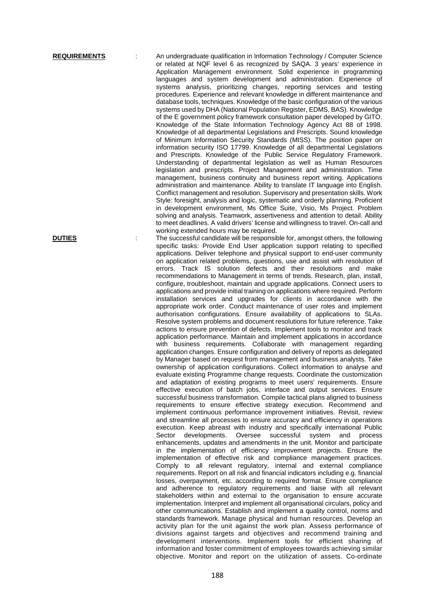**REQUIREMENTS** : An undergraduate qualification in Information Technology / Computer Science or related at NQF level 6 as recognized by SAQA. 3 years' experience in Application Management environment. Solid experience in programming languages and system development and administration. Experience of systems analysis, prioritizing changes, reporting services and testing procedures. Experience and relevant knowledge in different maintenance and database tools, techniques. Knowledge of the basic configuration of the various systems used by DHA (National Population Register, EDMS, BAS). Knowledge of the E government policy framework consultation paper developed by GITO. Knowledge of the State Information Technology Agency Act 88 of 1998. Knowledge of all departmental Legislations and Prescripts. Sound knowledge of Minimum Information Security Standards (MISS). The position paper on information security ISO 17799. Knowledge of all departmental Legislations and Prescripts. Knowledge of the Public Service Regulatory Framework. Understanding of departmental legislation as well as Human Resources legislation and prescripts. Project Management and administration. Time management, business continuity and business report writing. Applications administration and maintenance. Ability to translate IT language into English. Conflict management and resolution. Supervisory and presentation skills. Work Style: foresight, analysis and logic, systematic and orderly planning. Proficient in development environment, Ms Office Suite, Visio, Ms Project. Problem solving and analysis. Teamwork, assertiveness and attention to detail. Ability to meet deadlines. A valid drivers' license and willingness to travel. On-call and working extended hours may be required.

**DUTIES** The successful candidate will be responsible for, amongst others, the following specific tasks: Provide End User application support relating to specified applications. Deliver telephone and physical support to end-user community on application related problems, questions, use and assist with resolution of errors. Track IS solution defects and their resolutions and make recommendations to Management in terms of trends. Research, plan, install, configure, troubleshoot, maintain and upgrade applications. Connect users to applications and provide initial training on applications where required. Perform installation services and upgrades for clients in accordance with the appropriate work order. Conduct maintenance of user roles and implement authorisation configurations. Ensure availability of applications to SLAs. Resolve system problems and document resolutions for future reference. Take actions to ensure prevention of defects. Implement tools to monitor and track application performance. Maintain and implement applications in accordance with business requirements. Collaborate with management regarding application changes. Ensure configuration and delivery of reports as delegated by Manager based on request from management and business analysts. Take ownership of application configurations. Collect information to analyse and evaluate existing Programme change requests. Coordinate the customization and adaptation of existing programs to meet users' requirements. Ensure effective execution of batch jobs, interface and output services. Ensure successful business transformation. Compile tactical plans aligned to business requirements to ensure effective strategy execution. Recommend and implement continuous performance improvement initiatives. Revisit, review and streamline all processes to ensure accuracy and efficiency in operations execution. Keep abreast with industry and specifically international Public Sector developments. Oversee successful system and process enhancements, updates and amendments in the unit. Monitor and participate in the implementation of efficiency improvement projects. Ensure the implementation of effective risk and compliance management practices. Comply to all relevant regulatory, internal and external compliance requirements. Report on all risk and financial indicators including e.g. financial losses, overpayment, etc. according to required format. Ensure compliance and adherence to regulatory requirements and liaise with all relevant stakeholders within and external to the organisation to ensure accurate implementation. Interpret and implement all organisational circulars, policy and other communications. Establish and implement a quality control, norms and standards framework. Manage physical and human resources. Develop an activity plan for the unit against the work plan. Assess performance of divisions against targets and objectives and recommend training and development interventions. Implement tools for efficient sharing of information and foster commitment of employees towards achieving similar objective. Monitor and report on the utilization of assets. Co-ordinate